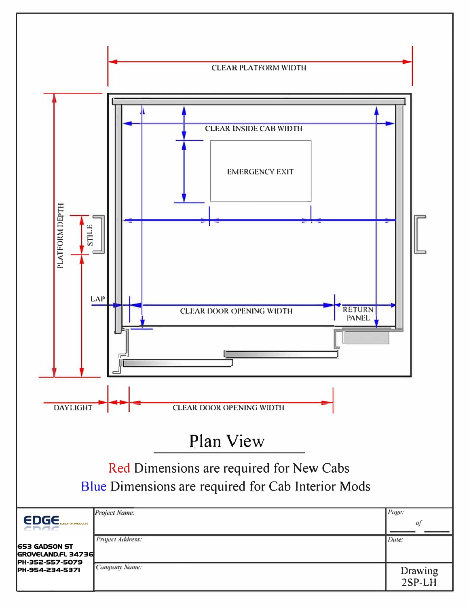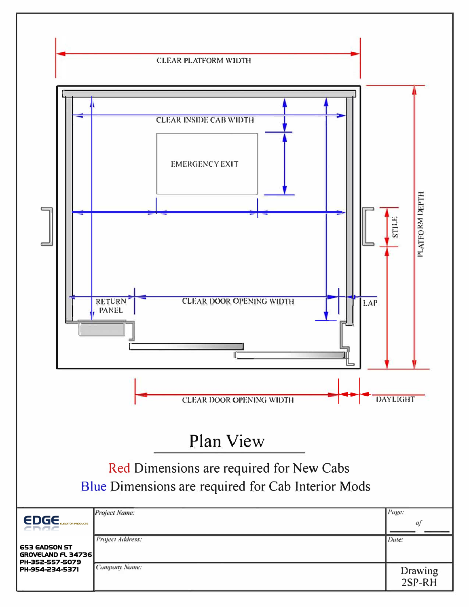